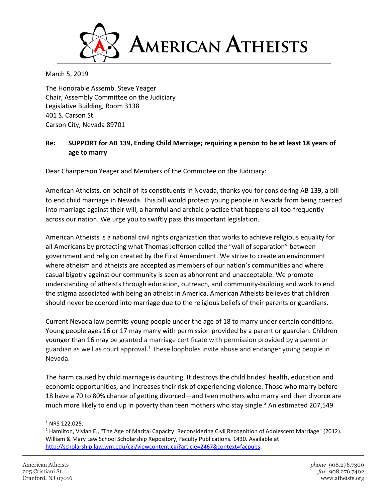

March 5, 2019

The Honorable Assemb. Steve Yeager Chair, Assembly Committee on the Judiciary Legislative Building, Room 3138 401 S. Carson St. Carson City, Nevada 89701

## **Re: SUPPORT for AB 139, Ending Child Marriage; requiring a person to be at least 18 years of age to marry**

Dear Chairperson Yeager and Members of the Committee on the Judiciary:

American Atheists, on behalf of its constituents in Nevada, thanks you for considering AB 139, a bill to end child marriage in Nevada. This bill would protect young people in Nevada from being coerced into marriage against their will, a harmful and archaic practice that happens all-too-frequently across our nation. We urge you to swiftly pass this important legislation.

American Atheists is a national civil rights organization that works to achieve religious equality for all Americans by protecting what Thomas Jefferson called the "wall of separation" between government and religion created by the First Amendment. We strive to create an environment where atheism and atheists are accepted as members of our nation's communities and where casual bigotry against our community is seen as abhorrent and unacceptable. We promote understanding of atheists through education, outreach, and community-building and work to end the stigma associated with being an atheist in America. American Atheists believes that children should never be coerced into marriage due to the religious beliefs of their parents or guardians.

Current Nevada law permits young people under the age of 18 to marry under certain conditions. Young people ages 16 or 17 may marry with permission provided by a parent or guardian. Children younger than 16 may be granted a marriage certificate with permission provided by a parent or guardian as well as court approval.<sup>1</sup> These loopholes invite abuse and endanger young people in Nevada.

The harm caused by child marriage is daunting. It destroys the child brides' health, education and economic opportunities, and increases their risk of experiencing violence. Those who marry before 18 have a 70 to 80% chance of getting divorced—and teen mothers who marry and then divorce are much more likely to end up in poverty than teen mothers who stay single.<sup>2</sup> An estimated 207,549

 $\overline{\phantom{a}}$ 

<sup>&</sup>lt;sup>1</sup> NRS 122.025.

<sup>&</sup>lt;sup>2</sup> Hamilton, Vivian E., "The Age of Marital Capacity: Reconsidering Civil Recognition of Adolescent Marriage" (2012). William & Mary Law School Scholarship Repository, Faculty Publications. 1430. Available at [http://scholarship.law.wm.edu/cgi/viewcontent.cgi?article=2467&context=facpubs.](http://scholarship.law.wm.edu/cgi/viewcontent.cgi?article=2467&context=facpubs)